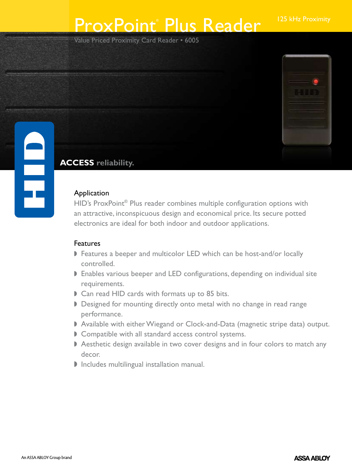# ProxPoint® Plus Reader 125 kHz Proximity

Value Priced Proximity Card Reader • 6005



### **ACCESS reliability.**

#### **Application**

HID's ProxPoint® Plus reader combines multiple configuration options with an attractive, inconspicuous design and economical price. Its secure potted electronics are ideal for both indoor and outdoor applications.

### Features

- **Features a beeper and multicolor LED which can be host-and/or locally** controlled.
- **Enables various beeper and LED configurations, depending on individual site** requirements.
- Can read HID cards with formats up to 85 bits.
- Designed for mounting directly onto metal with no change in read range performance.
- Available with either Wiegand or Clock-and-Data (magnetic stripe data) output.
- Compatible with all standard access control systems.
- Aesthetic design available in two cover designs and in four colors to match any decor.
- **D** Includes multilingual installation manual.